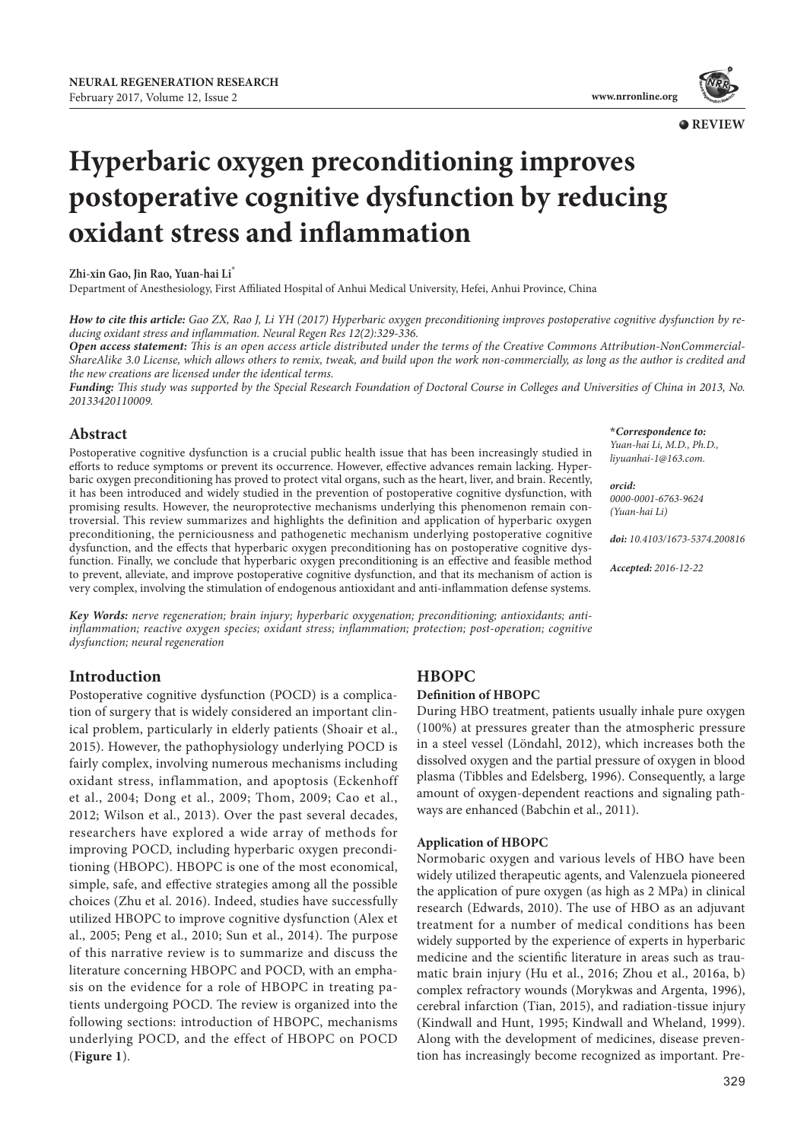**\****Correspondence to: Yuan-hai Li, M.D., Ph.D., liyuanhai-1@163.com.*

*[0000-0001-6763-9624](http://orcid.org/0000-0001-6763-9624) (Yuan-hai Li)* 

*Accepted: 2016-12-22*

*doi: 10.4103/1673-5374.200816*

*orcid:* 



**QREVIEW** 

# **Hyperbaric oxygen preconditioning improves postoperative cognitive dysfunction by reducing oxidant stress and inflammation**

**Zhi-xin Gao, Jin Rao, Yuan-hai Li\***

Department of Anesthesiology, First Affiliated Hospital of Anhui Medical University, Hefei, Anhui Province, China

*How to cite this article: Gao ZX, Rao J, Li YH (2017) Hyperbaric oxygen preconditioning improves postoperative cognitive dysfunction by reducing oxidant stress and inflammation. Neural Regen Res 12(2):329-336.*

*Open access statement: This is an open access article distributed under the terms of the Creative Commons Attribution-NonCommercial-ShareAlike 3.0 License, which allows others to remix, tweak, and build upon the work non-commercially, as long as the author is credited and the new creations are licensed under the identical terms.*

*Funding: This study was supported by the Special Research Foundation of Doctoral Course in Colleges and Universities of China in 2013, No. 20133420110009.*

### **Abstract**

Postoperative cognitive dysfunction is a crucial public health issue that has been increasingly studied in efforts to reduce symptoms or prevent its occurrence. However, effective advances remain lacking. Hyperbaric oxygen preconditioning has proved to protect vital organs, such as the heart, liver, and brain. Recently, it has been introduced and widely studied in the prevention of postoperative cognitive dysfunction, with promising results. However, the neuroprotective mechanisms underlying this phenomenon remain controversial. This review summarizes and highlights the definition and application of hyperbaric oxygen preconditioning, the perniciousness and pathogenetic mechanism underlying postoperative cognitive dysfunction, and the effects that hyperbaric oxygen preconditioning has on postoperative cognitive dysfunction. Finally, we conclude that hyperbaric oxygen preconditioning is an effective and feasible method to prevent, alleviate, and improve postoperative cognitive dysfunction, and that its mechanism of action is very complex, involving the stimulation of endogenous antioxidant and anti-inflammation defense systems.

*Key Words: nerve regeneration; brain injury; hyperbaric oxygenation; preconditioning; antioxidants; antiinflammation; reactive oxygen species; oxidant stress; inflammation; protection; post-operation; cognitive dysfunction; neural regeneration*

# **Introduction**

Postoperative cognitive dysfunction (POCD) is a complication of surgery that is widely considered an important clinical problem, particularly in elderly patients (Shoair et al., 2015). However, the pathophysiology underlying POCD is fairly complex, involving numerous mechanisms including oxidant stress, inflammation, and apoptosis (Eckenhoff et al., 2004; Dong et al., 2009; Thom, 2009; Cao et al., 2012; Wilson et al., 2013). Over the past several decades, researchers have explored a wide array of methods for improving POCD, including hyperbaric oxygen preconditioning (HBOPC). HBOPC is one of the most economical, simple, safe, and effective strategies among all the possible choices (Zhu et al. 2016). Indeed, studies have successfully utilized HBOPC to improve cognitive dysfunction (Alex et al., 2005; Peng et al., 2010; Sun et al., 2014). The purpose of this narrative review is to summarize and discuss the literature concerning HBOPC and POCD, with an emphasis on the evidence for a role of HBOPC in treating patients undergoing POCD. The review is organized into the following sections: introduction of HBOPC, mechanisms underlying POCD, and the effect of HBOPC on POCD (**Figure 1**).

# **HBOPC**

## **Definition of HBOPC**

During HBO treatment, patients usually inhale pure oxygen (100%) at pressures greater than the atmospheric pressure in a steel vessel (Löndahl, 2012), which increases both the dissolved oxygen and the partial pressure of oxygen in blood plasma (Tibbles and Edelsberg, 1996). Consequently, a large amount of oxygen-dependent reactions and signaling pathways are enhanced (Babchin et al., 2011).

### **Application of HBOPC**

Normobaric oxygen and various levels of HBO have been widely utilized therapeutic agents, and Valenzuela pioneered the application of pure oxygen (as high as 2 MPa) in clinical research (Edwards, 2010). The use of HBO as an adjuvant treatment for a number of medical conditions has been widely supported by the experience of experts in hyperbaric medicine and the scientific literature in areas such as traumatic brain injury (Hu et al., 2016; Zhou et al., 2016a, b) complex refractory wounds (Morykwas and Argenta, 1996), cerebral infarction (Tian, 2015), and radiation-tissue injury (Kindwall and Hunt, 1995; Kindwall and Wheland, 1999). Along with the development of medicines, disease prevention has increasingly become recognized as important. Pre-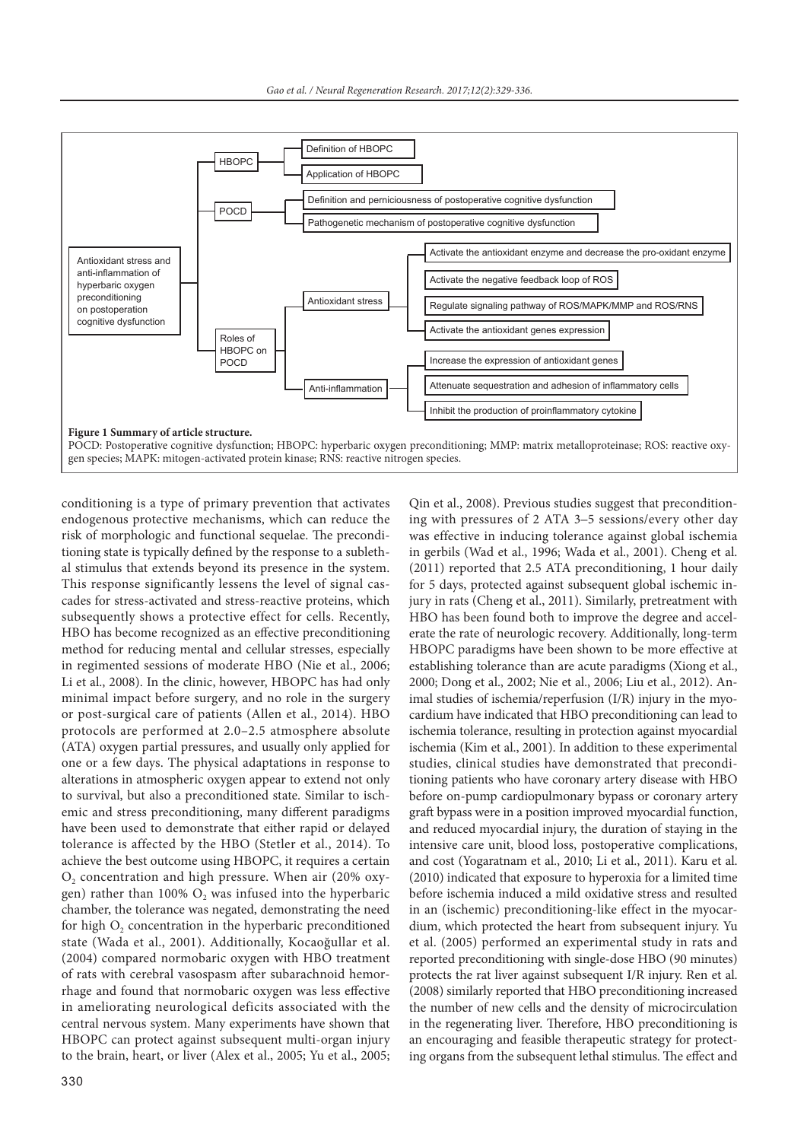

conditioning is a type of primary prevention that activates endogenous protective mechanisms, which can reduce the risk of morphologic and functional sequelae. The preconditioning state is typically defined by the response to a sublethal stimulus that extends beyond its presence in the system. This response significantly lessens the level of signal cascades for stress-activated and stress-reactive proteins, which subsequently shows a protective effect for cells. Recently, HBO has become recognized as an effective preconditioning method for reducing mental and cellular stresses, especially in regimented sessions of moderate HBO (Nie et al., 2006; Li et al., 2008). In the clinic, however, HBOPC has had only minimal impact before surgery, and no role in the surgery or post-surgical care of patients (Allen et al., 2014). HBO protocols are performed at 2.0–2.5 atmosphere absolute (ATA) oxygen partial pressures, and usually only applied for one or a few days. The physical adaptations in response to alterations in atmospheric oxygen appear to extend not only to survival, but also a preconditioned state. Similar to ischemic and stress preconditioning, many different paradigms have been used to demonstrate that either rapid or delayed tolerance is affected by the HBO (Stetler et al., 2014). To achieve the best outcome using HBOPC, it requires a certain  $O<sub>2</sub>$  concentration and high pressure. When air (20% oxygen) rather than 100%  $O_2$  was infused into the hyperbaric chamber, the tolerance was negated, demonstrating the need for high  $O<sub>2</sub>$  concentration in the hyperbaric preconditioned state (Wada et al., 2001). Additionally, Kocaoğullar et al. (2004) compared normobaric oxygen with HBO treatment of rats with cerebral vasospasm after subarachnoid hemorrhage and found that normobaric oxygen was less effective in ameliorating neurological deficits associated with the central nervous system. Many experiments have shown that HBOPC can protect against subsequent multi-organ injury to the brain, heart, or liver (Alex et al., 2005; Yu et al., 2005;

was effective in inducing tolerance against global ischemia in gerbils (Wad et al., 1996; Wada et al., 2001). Cheng et al. (2011) reported that 2.5 ATA preconditioning, 1 hour daily for 5 days, protected against subsequent global ischemic injury in rats (Cheng et al., 2011). Similarly, pretreatment with HBO has been found both to improve the degree and accelerate the rate of neurologic recovery. Additionally, long-term HBOPC paradigms have been shown to be more effective at establishing tolerance than are acute paradigms (Xiong et al., 2000; Dong et al., 2002; Nie et al., 2006; Liu et al., 2012). Animal studies of ischemia/reperfusion (I/R) injury in the myocardium have indicated that HBO preconditioning can lead to ischemia tolerance, resulting in protection against myocardial ischemia (Kim et al., 2001). In addition to these experimental studies, clinical studies have demonstrated that preconditioning patients who have coronary artery disease with HBO before on-pump cardiopulmonary bypass or coronary artery graft bypass were in a position improved myocardial function, and reduced myocardial injury, the duration of staying in the intensive care unit, blood loss, postoperative complications, and cost (Yogaratnam et al., 2010; Li et al., 2011). Karu et al. (2010) indicated that exposure to hyperoxia for a limited time before ischemia induced a mild oxidative stress and resulted in an (ischemic) preconditioning-like effect in the myocardium, which protected the heart from subsequent injury. Yu et al. (2005) performed an experimental study in rats and reported preconditioning with single-dose HBO (90 minutes) protects the rat liver against subsequent I/R injury. Ren et al. (2008) similarly reported that HBO preconditioning increased the number of new cells and the density of microcirculation in the regenerating liver. Therefore, HBO preconditioning is an encouraging and feasible therapeutic strategy for protecting organs from the subsequent lethal stimulus. The effect and

Qin et al., 2008). Previous studies suggest that preconditioning with pressures of 2 ATA 3–5 sessions/every other day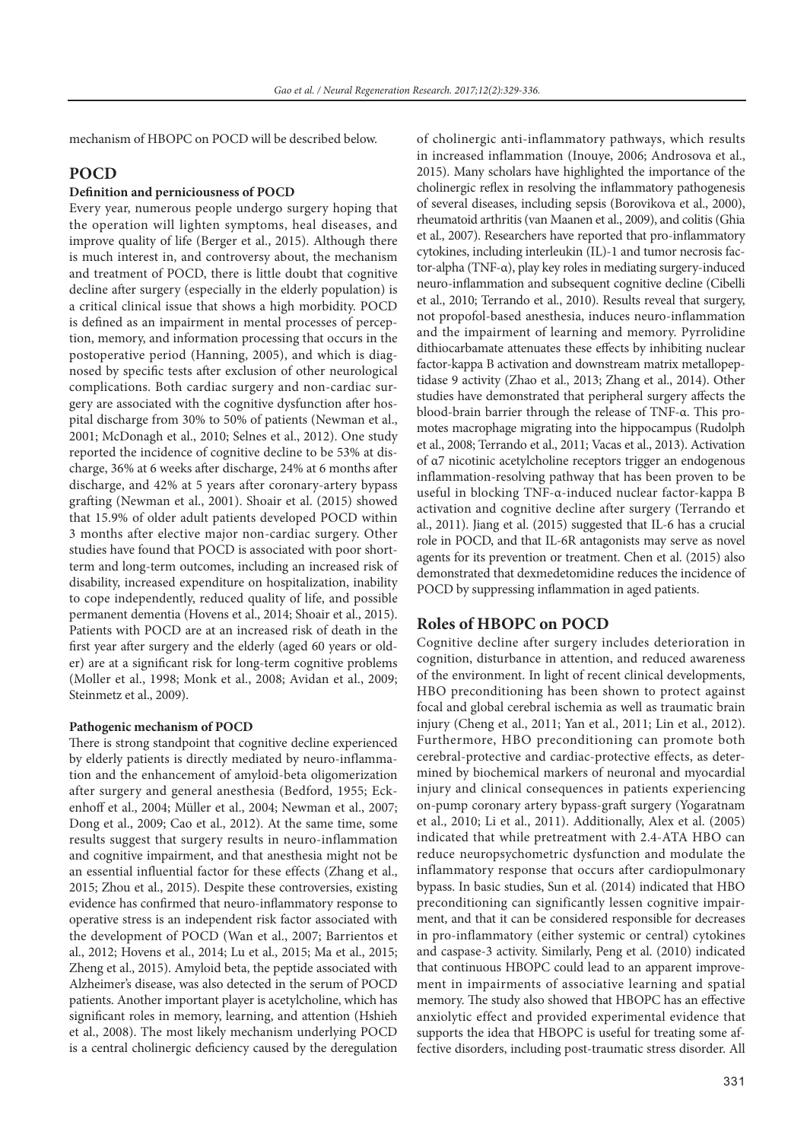mechanism of HBOPC on POCD will be described below.

# **POCD**

## **Definition and perniciousness of POCD**

Every year, numerous people undergo surgery hoping that the operation will lighten symptoms, heal diseases, and improve quality of life (Berger et al., 2015). Although there is much interest in, and controversy about, the mechanism and treatment of POCD, there is little doubt that cognitive decline after surgery (especially in the elderly population) is a critical clinical issue that shows a high morbidity. POCD is defined as an impairment in mental processes of perception, memory, and information processing that occurs in the postoperative period (Hanning, 2005), and which is diagnosed by specific tests after exclusion of other neurological complications. Both cardiac surgery and non-cardiac surgery are associated with the cognitive dysfunction after hospital discharge from 30% to 50% of patients (Newman et al., 2001; McDonagh et al., 2010; Selnes et al., 2012). One study reported the incidence of cognitive decline to be 53% at discharge, 36% at 6 weeks after discharge, 24% at 6 months after discharge, and 42% at 5 years after coronary-artery bypass grafting (Newman et al., 2001). Shoair et al. (2015) showed that 15.9% of older adult patients developed POCD within 3 months after elective major non-cardiac surgery. Other studies have found that POCD is associated with poor shortterm and long-term outcomes, including an increased risk of disability, increased expenditure on hospitalization, inability to cope independently, reduced quality of life, and possible permanent dementia (Hovens et al., 2014; Shoair et al., 2015). Patients with POCD are at an increased risk of death in the first year after surgery and the elderly (aged 60 years or older) are at a significant risk for long-term cognitive problems (Moller et al., 1998; Monk et al., 2008; Avidan et al., 2009; Steinmetz et al., 2009).

#### **Pathogenic mechanism of POCD**

There is strong standpoint that cognitive decline experienced by elderly patients is directly mediated by neuro-inflammation and the enhancement of amyloid-beta oligomerization after surgery and general anesthesia (Bedford, 1955; Eckenhoff et al., 2004; Müller et al., 2004; Newman et al., 2007; Dong et al., 2009; Cao et al., 2012). At the same time, some results suggest that surgery results in neuro-inflammation and cognitive impairment, and that anesthesia might not be an essential influential factor for these effects (Zhang et al., 2015; Zhou et al., 2015). Despite these controversies, existing evidence has confirmed that neuro-inflammatory response to operative stress is an independent risk factor associated with the development of POCD (Wan et al., 2007; Barrientos et al., 2012; Hovens et al., 2014; Lu et al., 2015; Ma et al., 2015; Zheng et al., 2015). Amyloid beta, the peptide associated with Alzheimer's disease, was also detected in the serum of POCD patients. Another important player is acetylcholine, which has significant roles in memory, learning, and attention (Hshieh et al., 2008). The most likely mechanism underlying POCD is a central cholinergic deficiency caused by the deregulation of cholinergic anti-inflammatory pathways, which results in increased inflammation (Inouye, 2006; Androsova et al., 2015). Many scholars have highlighted the importance of the cholinergic reflex in resolving the inflammatory pathogenesis of several diseases, including sepsis (Borovikova et al., 2000), rheumatoid arthritis (van Maanen et al., 2009), and colitis (Ghia et al., 2007). Researchers have reported that pro-inflammatory cytokines, including interleukin (IL)-1 and tumor necrosis factor-alpha (TNF-α), play key roles in mediating surgery-induced neuro-inflammation and subsequent cognitive decline (Cibelli et al., 2010; Terrando et al., 2010). Results reveal that surgery, not propofol-based anesthesia, induces neuro-inflammation and the impairment of learning and memory. Pyrrolidine dithiocarbamate attenuates these effects by inhibiting nuclear factor-kappa B activation and downstream matrix metallopeptidase 9 activity (Zhao et al., 2013; Zhang et al., 2014). Other studies have demonstrated that peripheral surgery affects the blood-brain barrier through the release of TNF-α. This promotes macrophage migrating into the hippocampus (Rudolph et al., 2008; Terrando et al., 2011; Vacas et al., 2013). Activation of α7 nicotinic acetylcholine receptors trigger an endogenous inflammation-resolving pathway that has been proven to be useful in blocking TNF-α-induced nuclear factor-kappa B activation and cognitive decline after surgery (Terrando et al., 2011). Jiang et al. (2015) suggested that IL-6 has a crucial role in POCD, and that IL-6R antagonists may serve as novel agents for its prevention or treatment. Chen et al. (2015) also demonstrated that dexmedetomidine reduces the incidence of POCD by suppressing inflammation in aged patients.

# **Roles of HBOPC on POCD**

Cognitive decline after surgery includes deterioration in cognition, disturbance in attention, and reduced awareness of the environment. In light of recent clinical developments, HBO preconditioning has been shown to protect against focal and global cerebral ischemia as well as traumatic brain injury (Cheng et al., 2011; Yan et al., 2011; Lin et al., 2012). Furthermore, HBO preconditioning can promote both cerebral-protective and cardiac-protective effects, as determined by biochemical markers of neuronal and myocardial injury and clinical consequences in patients experiencing on-pump coronary artery bypass-graft surgery (Yogaratnam et al., 2010; Li et al., 2011). Additionally, Alex et al. (2005) indicated that while pretreatment with 2.4-ATA HBO can reduce neuropsychometric dysfunction and modulate the inflammatory response that occurs after cardiopulmonary bypass. In basic studies, Sun et al. (2014) indicated that HBO preconditioning can significantly lessen cognitive impairment, and that it can be considered responsible for decreases in pro-inflammatory (either systemic or central) cytokines and caspase-3 activity. Similarly, Peng et al. (2010) indicated that continuous HBOPC could lead to an apparent improvement in impairments of associative learning and spatial memory. The study also showed that HBOPC has an effective anxiolytic effect and provided experimental evidence that supports the idea that HBOPC is useful for treating some affective disorders, including post-traumatic stress disorder. All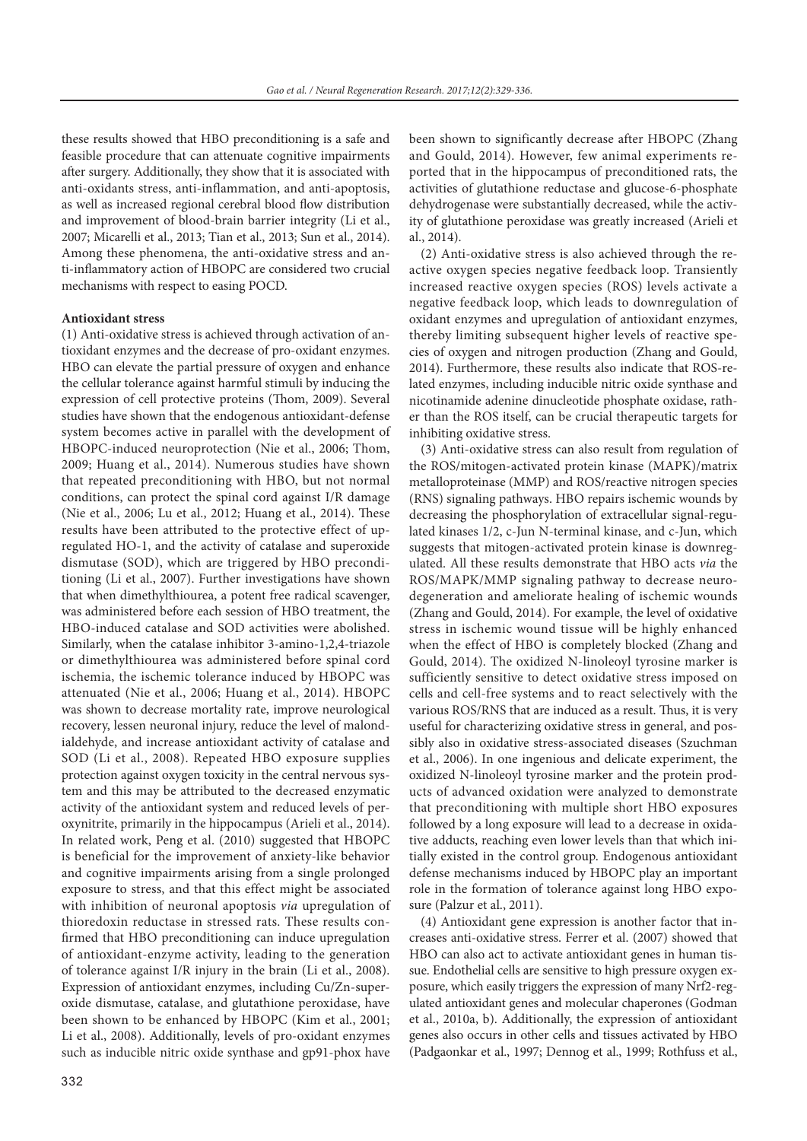these results showed that HBO preconditioning is a safe and feasible procedure that can attenuate cognitive impairments after surgery. Additionally, they show that it is associated with anti-oxidants stress, anti-inflammation, and anti-apoptosis, as well as increased regional cerebral blood flow distribution and improvement of blood-brain barrier integrity (Li et al., 2007; Micarelli et al., 2013; Tian et al., 2013; Sun et al., 2014). Among these phenomena, the anti-oxidative stress and anti-inflammatory action of HBOPC are considered two crucial mechanisms with respect to easing POCD.

#### **Antioxidant stress**

(1) Anti-oxidative stress is achieved through activation of antioxidant enzymes and the decrease of pro-oxidant enzymes. HBO can elevate the partial pressure of oxygen and enhance the cellular tolerance against harmful stimuli by inducing the expression of cell protective proteins (Thom, 2009). Several studies have shown that the endogenous antioxidant-defense system becomes active in parallel with the development of HBOPC-induced neuroprotection (Nie et al., 2006; Thom, 2009; Huang et al., 2014). Numerous studies have shown that repeated preconditioning with HBO, but not normal conditions, can protect the spinal cord against I/R damage (Nie et al., 2006; Lu et al., 2012; Huang et al., 2014). These results have been attributed to the protective effect of upregulated HO-1, and the activity of catalase and superoxide dismutase (SOD), which are triggered by HBO preconditioning (Li et al., 2007). Further investigations have shown that when dimethylthiourea, a potent free radical scavenger, was administered before each session of HBO treatment, the HBO-induced catalase and SOD activities were abolished. Similarly, when the catalase inhibitor 3-amino-1,2,4-triazole or dimethylthiourea was administered before spinal cord ischemia, the ischemic tolerance induced by HBOPC was attenuated (Nie et al., 2006; Huang et al., 2014). HBOPC was shown to decrease mortality rate, improve neurological recovery, lessen neuronal injury, reduce the level of malondialdehyde, and increase antioxidant activity of catalase and SOD (Li et al., 2008). Repeated HBO exposure supplies protection against oxygen toxicity in the central nervous system and this may be attributed to the decreased enzymatic activity of the antioxidant system and reduced levels of peroxynitrite, primarily in the hippocampus (Arieli et al., 2014). In related work, Peng et al. (2010) suggested that HBOPC is beneficial for the improvement of anxiety-like behavior and cognitive impairments arising from a single prolonged exposure to stress, and that this effect might be associated with inhibition of neuronal apoptosis *via* upregulation of thioredoxin reductase in stressed rats. These results confirmed that HBO preconditioning can induce upregulation of antioxidant-enzyme activity, leading to the generation of tolerance against I/R injury in the brain (Li et al., 2008). Expression of antioxidant enzymes, including Cu/Zn-superoxide dismutase, catalase, and glutathione peroxidase, have been shown to be enhanced by HBOPC (Kim et al., 2001; Li et al., 2008). Additionally, levels of pro-oxidant enzymes such as inducible nitric oxide synthase and gp91-phox have

been shown to significantly decrease after HBOPC (Zhang and Gould, 2014). However, few animal experiments reported that in the hippocampus of preconditioned rats, the activities of glutathione reductase and glucose-6-phosphate dehydrogenase were substantially decreased, while the activity of glutathione peroxidase was greatly increased (Arieli et al., 2014).

(2) Anti-oxidative stress is also achieved through the reactive oxygen species negative feedback loop. Transiently increased reactive oxygen species (ROS) levels activate a negative feedback loop, which leads to downregulation of oxidant enzymes and upregulation of antioxidant enzymes, thereby limiting subsequent higher levels of reactive species of oxygen and nitrogen production (Zhang and Gould, 2014). Furthermore, these results also indicate that ROS-related enzymes, including inducible nitric oxide synthase and nicotinamide adenine dinucleotide phosphate oxidase, rather than the ROS itself, can be crucial therapeutic targets for inhibiting oxidative stress.

(3) Anti-oxidative stress can also result from regulation of the ROS/mitogen-activated protein kinase (MAPK)/matrix metalloproteinase (MMP) and ROS/reactive nitrogen species (RNS) signaling pathways. HBO repairs ischemic wounds by decreasing the phosphorylation of extracellular signal-regulated kinases 1/2, c-Jun N-terminal kinase, and c-Jun, which suggests that mitogen-activated protein kinase is downregulated. All these results demonstrate that HBO acts *via* the ROS/MAPK/MMP signaling pathway to decrease neurodegeneration and ameliorate healing of ischemic wounds (Zhang and Gould, 2014). For example, the level of oxidative stress in ischemic wound tissue will be highly enhanced when the effect of HBO is completely blocked (Zhang and Gould, 2014). The oxidized N-linoleoyl tyrosine marker is sufficiently sensitive to detect oxidative stress imposed on cells and cell-free systems and to react selectively with the various ROS/RNS that are induced as a result. Thus, it is very useful for characterizing oxidative stress in general, and possibly also in oxidative stress-associated diseases (Szuchman et al., 2006). In one ingenious and delicate experiment, the oxidized N-linoleoyl tyrosine marker and the protein products of advanced oxidation were analyzed to demonstrate that preconditioning with multiple short HBO exposures followed by a long exposure will lead to a decrease in oxidative adducts, reaching even lower levels than that which initially existed in the control group. Endogenous antioxidant defense mechanisms induced by HBOPC play an important role in the formation of tolerance against long HBO exposure (Palzur et al., 2011).

(4) Antioxidant gene expression is another factor that increases anti-oxidative stress. Ferrer et al. (2007) showed that HBO can also act to activate antioxidant genes in human tissue. Endothelial cells are sensitive to high pressure oxygen exposure, which easily triggers the expression of many Nrf2-regulated antioxidant genes and molecular chaperones (Godman et al., 2010a, b). Additionally, the expression of antioxidant genes also occurs in other cells and tissues activated by HBO (Padgaonkar et al., 1997; Dennog et al., 1999; Rothfuss et al.,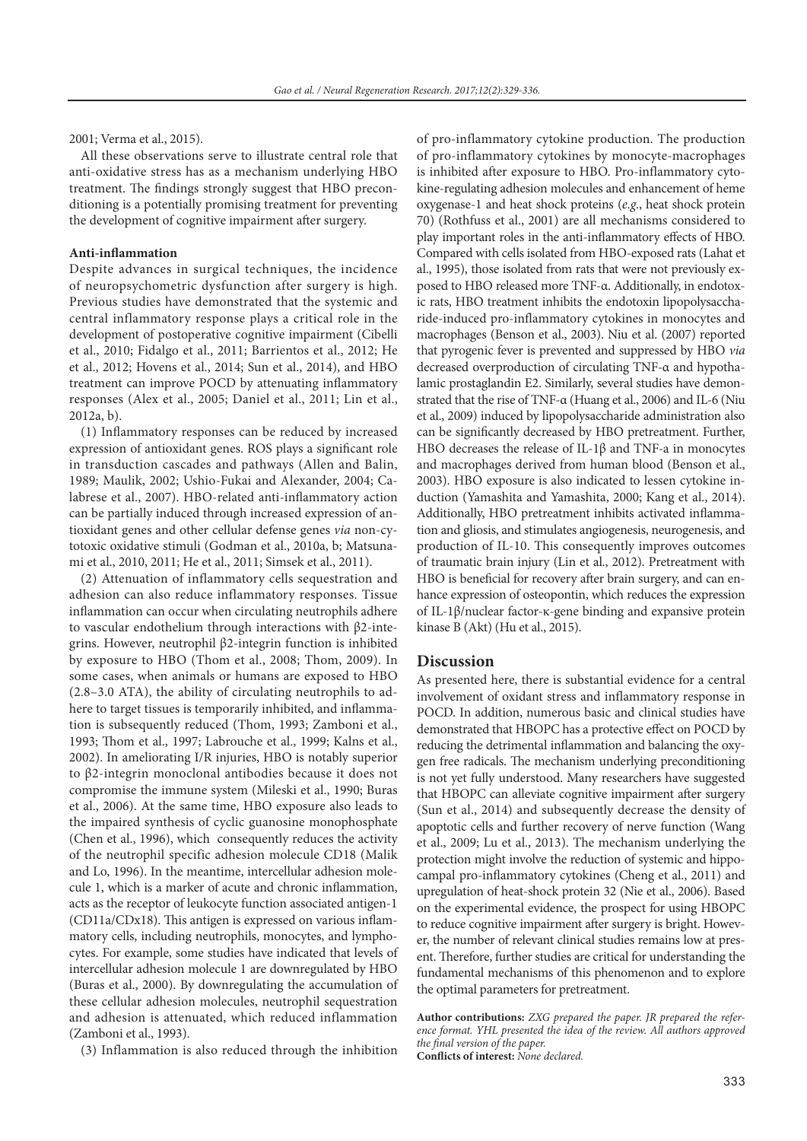2001; Verma et al., 2015).

All these observations serve to illustrate central role that anti-oxidative stress has as a mechanism underlying HBO treatment. The findings strongly suggest that HBO preconditioning is a potentially promising treatment for preventing the development of cognitive impairment after surgery.

#### **Anti-inflammation**

Despite advances in surgical techniques, the incidence of neuropsychometric dysfunction after surgery is high. Previous studies have demonstrated that the systemic and central inflammatory response plays a critical role in the development of postoperative cognitive impairment (Cibelli et al., 2010; Fidalgo et al., 2011; Barrientos et al., 2012; He et al., 2012; Hovens et al., 2014; Sun et al., 2014), and HBO treatment can improve POCD by attenuating inflammatory responses (Alex et al., 2005; Daniel et al., 2011; Lin et al., 2012a, b).

(1) Inflammatory responses can be reduced by increased expression of antioxidant genes. ROS plays a significant role in transduction cascades and pathways (Allen and Balin, 1989; Maulik, 2002; Ushio-Fukai and Alexander, 2004; Calabrese et al., 2007). HBO-related anti-inflammatory action can be partially induced through increased expression of antioxidant genes and other cellular defense genes *via* non-cytotoxic oxidative stimuli (Godman et al., 2010a, b; Matsunami et al., 2010, 2011; He et al., 2011; Simsek et al., 2011).

(2) Attenuation of inflammatory cells sequestration and adhesion can also reduce inflammatory responses. Tissue inflammation can occur when circulating neutrophils adhere to vascular endothelium through interactions with β2-integrins. However, neutrophil β2-integrin function is inhibited by exposure to HBO (Thom et al., 2008; Thom, 2009). In some cases, when animals or humans are exposed to HBO (2.8–3.0 ATA), the ability of circulating neutrophils to adhere to target tissues is temporarily inhibited, and inflammation is subsequently reduced (Thom, 1993; Zamboni et al., 1993; Thom et al., 1997; Labrouche et al., 1999; Kalns et al., 2002). In ameliorating I/R injuries, HBO is notably superior to β2-integrin monoclonal antibodies because it does not compromise the immune system (Mileski et al., 1990; Buras et al., 2006). At the same time, HBO exposure also leads to the impaired synthesis of cyclic guanosine monophosphate (Chen et al., 1996), which consequently reduces the activity of the neutrophil specific adhesion molecule CD18 (Malik and Lo, 1996). In the meantime, intercellular adhesion molecule 1, which is a marker of acute and chronic inflammation, acts as the receptor of leukocyte function associated antigen-1 (CD11a/CDx18). This antigen is expressed on various inflammatory cells, including neutrophils, monocytes, and lymphocytes. For example, some studies have indicated that levels of intercellular adhesion molecule 1 are downregulated by HBO (Buras et al., 2000). By downregulating the accumulation of these cellular adhesion molecules, neutrophil sequestration and adhesion is attenuated, which reduced inflammation (Zamboni et al., 1993).

(3) Inflammation is also reduced through the inhibition

of pro-inflammatory cytokine production. The production of pro-inflammatory cytokines by monocyte-macrophages is inhibited after exposure to HBO. Pro-inflammatory cytokine-regulating adhesion molecules and enhancement of heme oxygenase-1 and heat shock proteins (*e.g*., heat shock protein 70) (Rothfuss et al., 2001) are all mechanisms considered to play important roles in the anti-inflammatory effects of HBO. Compared with cells isolated from HBO-exposed rats (Lahat et al., 1995), those isolated from rats that were not previously exposed to HBO released more TNF-α. Additionally, in endotoxic rats, HBO treatment inhibits the endotoxin lipopolysaccharide-induced pro-inflammatory cytokines in monocytes and macrophages (Benson et al., 2003). Niu et al. (2007) reported that pyrogenic fever is prevented and suppressed by HBO *via* decreased overproduction of circulating TNF-α and hypothalamic prostaglandin E2. Similarly, several studies have demonstrated that the rise of TNF-α (Huang et al., 2006) and IL-6 (Niu et al., 2009) induced by lipopolysaccharide administration also can be significantly decreased by HBO pretreatment. Further, HBO decreases the release of IL-1β and TNF-a in monocytes and macrophages derived from human blood (Benson et al., 2003). HBO exposure is also indicated to lessen cytokine induction (Yamashita and Yamashita, 2000; Kang et al., 2014). Additionally, HBO pretreatment inhibits activated inflammation and gliosis, and stimulates angiogenesis, neurogenesis, and production of IL-10. This consequently improves outcomes of traumatic brain injury (Lin et al., 2012). Pretreatment with HBO is beneficial for recovery after brain surgery, and can enhance expression of osteopontin, which reduces the expression of IL-1β/nuclear factor-κ-gene binding and expansive protein kinase B (Akt) (Hu et al., 2015).

#### **Discussion**

As presented here, there is substantial evidence for a central involvement of oxidant stress and inflammatory response in POCD. In addition, numerous basic and clinical studies have demonstrated that HBOPC has a protective effect on POCD by reducing the detrimental inflammation and balancing the oxygen free radicals. The mechanism underlying preconditioning is not yet fully understood. Many researchers have suggested that HBOPC can alleviate cognitive impairment after surgery (Sun et al., 2014) and subsequently decrease the density of apoptotic cells and further recovery of nerve function (Wang et al., 2009; Lu et al., 2013). The mechanism underlying the protection might involve the reduction of systemic and hippocampal pro-inflammatory cytokines (Cheng et al., 2011) and upregulation of heat-shock protein 32 (Nie et al., 2006). Based on the experimental evidence, the prospect for using HBOPC to reduce cognitive impairment after surgery is bright. However, the number of relevant clinical studies remains low at present. Therefore, further studies are critical for understanding the fundamental mechanisms of this phenomenon and to explore the optimal parameters for pretreatment.

**Author contributions:** *ZXG prepared the paper. JR prepared the reference format. YHL presented the idea of the review. All authors approved the final version of the paper.* **Conflicts of interest:** *None declared.*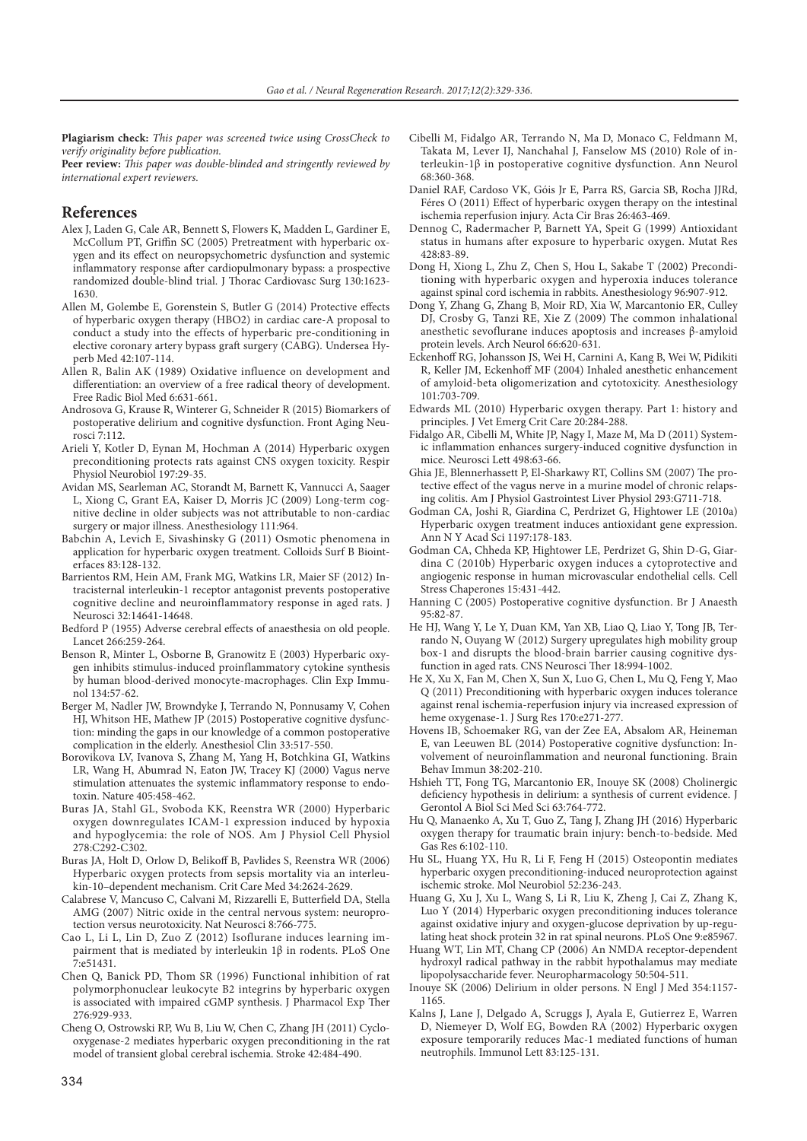**Plagiarism check:** *This paper was screened twice using CrossCheck to verify originality before publication.*

**Peer review:** *This paper was double-blinded and stringently reviewed by international expert reviewers.*

#### **References**

- Alex J, Laden G, Cale AR, Bennett S, Flowers K, Madden L, Gardiner E, McCollum PT, Griffin SC (2005) Pretreatment with hyperbaric oxygen and its effect on neuropsychometric dysfunction and systemic inflammatory response after cardiopulmonary bypass: a prospective randomized double-blind trial. J Thorac Cardiovasc Surg 130:1623- 1630.
- Allen M, Golembe E, Gorenstein S, Butler G (2014) Protective effects of hyperbaric oxygen therapy (HBO2) in cardiac care-A proposal to conduct a study into the effects of hyperbaric pre-conditioning in elective coronary artery bypass graft surgery (CABG). Undersea Hyperb Med 42:107-114.
- Allen R, Balin AK (1989) Oxidative influence on development and differentiation: an overview of a free radical theory of development. Free Radic Biol Med 6:631-661.
- Androsova G, Krause R, Winterer G, Schneider R (2015) Biomarkers of postoperative delirium and cognitive dysfunction. Front Aging Neurosci 7:112.
- Arieli Y, Kotler D, Eynan M, Hochman A (2014) Hyperbaric oxygen preconditioning protects rats against CNS oxygen toxicity. Respir Physiol Neurobiol 197:29-35.
- Avidan MS, Searleman AC, Storandt M, Barnett K, Vannucci A, Saager L, Xiong C, Grant EA, Kaiser D, Morris JC (2009) Long-term cognitive decline in older subjects was not attributable to non-cardiac surgery or major illness. Anesthesiology 111:964.
- Babchin A, Levich E, Sivashinsky G (2011) Osmotic phenomena in application for hyperbaric oxygen treatment. Colloids Surf B Biointerfaces 83:128-132.
- Barrientos RM, Hein AM, Frank MG, Watkins LR, Maier SF (2012) Intracisternal interleukin-1 receptor antagonist prevents postoperative cognitive decline and neuroinflammatory response in aged rats. J Neurosci 32:14641-14648.
- Bedford P (1955) Adverse cerebral effects of anaesthesia on old people. Lancet 266:259-264.
- Benson R, Minter L, Osborne B, Granowitz E (2003) Hyperbaric oxygen inhibits stimulus‐induced proinflammatory cytokine synthesis by human blood‐derived monocyte‐macrophages. Clin Exp Immunol 134:57-62.
- Berger M, Nadler JW, Browndyke J, Terrando N, Ponnusamy V, Cohen HJ, Whitson HE, Mathew JP (2015) Postoperative cognitive dysfunction: minding the gaps in our knowledge of a common postoperative complication in the elderly. Anesthesiol Clin 33:517-550.
- Borovikova LV, Ivanova S, Zhang M, Yang H, Botchkina GI, Watkins LR, Wang H, Abumrad N, Eaton JW, Tracey KJ (2000) Vagus nerve stimulation attenuates the systemic inflammatory response to endotoxin. Nature 405:458-462.
- Buras JA, Stahl GL, Svoboda KK, Reenstra WR (2000) Hyperbaric oxygen downregulates ICAM-1 expression induced by hypoxia and hypoglycemia: the role of NOS. Am J Physiol Cell Physiol 278:C292-C302.
- Buras JA, Holt D, Orlow D, Belikoff B, Pavlides S, Reenstra WR (2006) Hyperbaric oxygen protects from sepsis mortality via an interleukin-10–dependent mechanism. Crit Care Med 34:2624-2629.
- Calabrese V, Mancuso C, Calvani M, Rizzarelli E, Butterfield DA, Stella AMG (2007) Nitric oxide in the central nervous system: neuroprotection versus neurotoxicity. Nat Neurosci 8:766-775.
- Cao L, Li L, Lin D, Zuo Z (2012) Isoflurane induces learning impairment that is mediated by interleukin  $1β$  in rodents. PLoS One 7:e51431.
- Chen Q, Banick PD, Thom SR (1996) Functional inhibition of rat polymorphonuclear leukocyte B2 integrins by hyperbaric oxygen is associated with impaired cGMP synthesis. J Pharmacol Exp Ther 276:929-933.
- Cheng O, Ostrowski RP, Wu B, Liu W, Chen C, Zhang JH (2011) Cyclooxygenase-2 mediates hyperbaric oxygen preconditioning in the rat model of transient global cerebral ischemia. Stroke 42:484-490.
- Cibelli M, Fidalgo AR, Terrando N, Ma D, Monaco C, Feldmann M, Takata M, Lever IJ, Nanchahal J, Fanselow MS (2010) Role of interleukin‐1β in postoperative cognitive dysfunction. Ann Neurol 68:360-368.
- Daniel RAF, Cardoso VK, Góis Jr E, Parra RS, Garcia SB, Rocha JJRd, Féres O (2011) Effect of hyperbaric oxygen therapy on the intestinal ischemia reperfusion injury. Acta Cir Bras 26:463-469.
- Dennog C, Radermacher P, Barnett YA, Speit G (1999) Antioxidant status in humans after exposure to hyperbaric oxygen. Mutat Res 428:83-89.
- Dong H, Xiong L, Zhu Z, Chen S, Hou L, Sakabe T (2002) Preconditioning with hyperbaric oxygen and hyperoxia induces tolerance against spinal cord ischemia in rabbits. Anesthesiology 96:907-912.
- Dong Y, Zhang G, Zhang B, Moir RD, Xia W, Marcantonio ER, Culley DJ, Crosby G, Tanzi RE, Xie Z (2009) The common inhalational anesthetic sevoflurane induces apoptosis and increases β-amyloid protein levels. Arch Neurol 66:620-631.
- Eckenhoff RG, Johansson JS, Wei H, Carnini A, Kang B, Wei W, Pidikiti R, Keller JM, Eckenhoff MF (2004) Inhaled anesthetic enhancement of amyloid-beta oligomerization and cytotoxicity. Anesthesiology 101:703-709.
- Edwards ML (2010) Hyperbaric oxygen therapy. Part 1: history and principles. J Vet Emerg Crit Care 20:284-288.
- Fidalgo AR, Cibelli M, White JP, Nagy I, Maze M, Ma D (2011) Systemic inflammation enhances surgery-induced cognitive dysfunction in mice. Neurosci Lett 498:63-66.
- Ghia JE, Blennerhassett P, El-Sharkawy RT, Collins SM (2007) The protective effect of the vagus nerve in a murine model of chronic relapsing colitis. Am J Physiol Gastrointest Liver Physiol 293:G711-718.
- Godman CA, Joshi R, Giardina C, Perdrizet G, Hightower LE (2010a) Hyperbaric oxygen treatment induces antioxidant gene expression. Ann N Y Acad Sci 1197:178-183.
- Godman CA, Chheda KP, Hightower LE, Perdrizet G, Shin D-G, Giardina C (2010b) Hyperbaric oxygen induces a cytoprotective and angiogenic response in human microvascular endothelial cells. Cell Stress Chaperones 15:431-442.
- Hanning C (2005) Postoperative cognitive dysfunction. Br J Anaesth 95:82-87.
- He HJ, Wang Y, Le Y, Duan KM, Yan XB, Liao Q, Liao Y, Tong JB, Terrando N, Ouyang W (2012) Surgery upregulates high mobility group box‐1 and disrupts the blood-brain barrier causing cognitive dysfunction in aged rats. CNS Neurosci Ther 18:994-1002.
- He X, Xu X, Fan M, Chen X, Sun X, Luo G, Chen L, Mu Q, Feng Y, Mao Q (2011) Preconditioning with hyperbaric oxygen induces tolerance against renal ischemia-reperfusion injury via increased expression of heme oxygenase-1. J Surg Res 170:e271-277.
- Hovens IB, Schoemaker RG, van der Zee EA, Absalom AR, Heineman E, van Leeuwen BL (2014) Postoperative cognitive dysfunction: Involvement of neuroinflammation and neuronal functioning. Brain Behav Immun 38:202-210.
- Hshieh TT, Fong TG, Marcantonio ER, Inouye SK (2008) Cholinergic deficiency hypothesis in delirium: a synthesis of current evidence. J Gerontol A Biol Sci Med Sci 63:764-772.
- Hu Q, Manaenko A, Xu T, Guo Z, Tang J, Zhang JH (2016) Hyperbaric oxygen therapy for traumatic brain injury: bench-to-bedside. Med Gas Res 6:102-110.
- Hu SL, Huang YX, Hu R, Li F, Feng H (2015) Osteopontin mediates hyperbaric oxygen preconditioning-induced neuroprotection against ischemic stroke. Mol Neurobiol 52:236-243.
- Huang G, Xu J, Xu L, Wang S, Li R, Liu K, Zheng J, Cai Z, Zhang K, Luo Y (2014) Hyperbaric oxygen preconditioning induces tolerance against oxidative injury and oxygen-glucose deprivation by up-regulating heat shock protein 32 in rat spinal neurons. PLoS One 9:e85967.
- Huang WT, Lin MT, Chang CP (2006) An NMDA receptor-dependent hydroxyl radical pathway in the rabbit hypothalamus may mediate lipopolysaccharide fever. Neuropharmacology 50:504-511.
- Inouye SK (2006) Delirium in older persons. N Engl J Med 354:1157- 1165.
- Kalns J, Lane J, Delgado A, Scruggs J, Ayala E, Gutierrez E, Warren D, Niemeyer D, Wolf EG, Bowden RA (2002) Hyperbaric oxygen exposure temporarily reduces Mac-1 mediated functions of human neutrophils. Immunol Lett 83:125-131.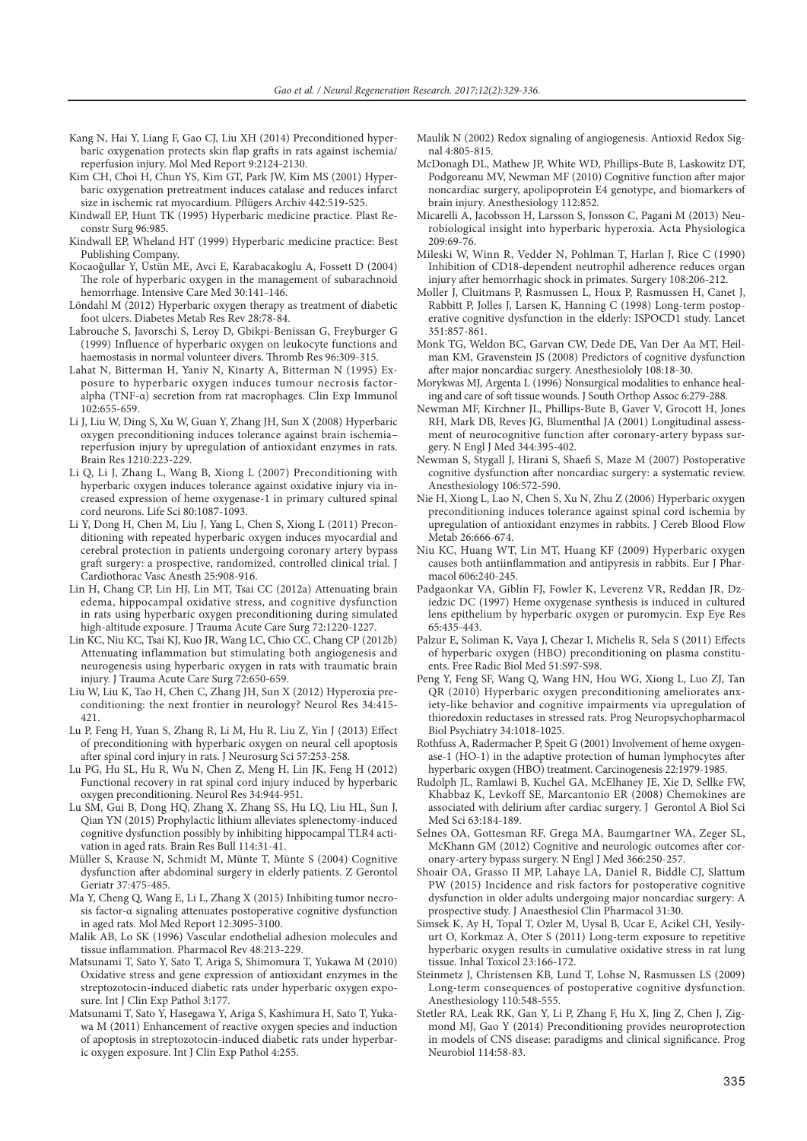- Kang N, Hai Y, Liang F, Gao CJ, Liu XH (2014) Preconditioned hyperbaric oxygenation protects skin flap grafts in rats against ischemia/ reperfusion injury. Mol Med Report 9:2124-2130.
- Kim CH, Choi H, Chun YS, Kim GT, Park JW, Kim MS (2001) Hyperbaric oxygenation pretreatment induces catalase and reduces infarct size in ischemic rat myocardium. Pflügers Archiv 442:519-525.
- Kindwall EP, Hunt TK (1995) Hyperbaric medicine practice. Plast Reconstr Surg 96:985.
- Kindwall EP, Wheland HT (1999) Hyperbaric medicine practice: Best Publishing Company.
- Kocaoğullar Y, Üstün ME, Avci E, Karabacakoglu A, Fossett D (2004) The role of hyperbaric oxygen in the management of subarachnoid hemorrhage. Intensive Care Med 30:141-146.
- Löndahl M (2012) Hyperbaric oxygen therapy as treatment of diabetic foot ulcers. Diabetes Metab Res Rev 28:78-84.
- Labrouche S, Javorschi S, Leroy D, Gbikpi-Benissan G, Freyburger G (1999) Influence of hyperbaric oxygen on leukocyte functions and haemostasis in normal volunteer divers. Thromb Res 96:309-315.
- Lahat N, Bitterman H, Yaniv N, Kinarty A, Bitterman N (1995) Exposure to hyperbaric oxygen induces tumour necrosis factor‐ alpha (TNF‐α) secretion from rat macrophages. Clin Exp Immunol 102:655-659.
- Li J, Liu W, Ding S, Xu W, Guan Y, Zhang JH, Sun X (2008) Hyperbaric oxygen preconditioning induces tolerance against brain ischemia– reperfusion injury by upregulation of antioxidant enzymes in rats. Brain Res 1210:223-229.
- Li Q, Li J, Zhang L, Wang B, Xiong L (2007) Preconditioning with hyperbaric oxygen induces tolerance against oxidative injury via increased expression of heme oxygenase-1 in primary cultured spinal cord neurons. Life Sci 80:1087-1093.
- Li Y, Dong H, Chen M, Liu J, Yang L, Chen S, Xiong L (2011) Preconditioning with repeated hyperbaric oxygen induces myocardial and cerebral protection in patients undergoing coronary artery bypass graft surgery: a prospective, randomized, controlled clinical trial. J Cardiothorac Vasc Anesth 25:908-916.
- Lin H, Chang CP, Lin HJ, Lin MT, Tsai CC (2012a) Attenuating brain edema, hippocampal oxidative stress, and cognitive dysfunction in rats using hyperbaric oxygen preconditioning during simulated high-altitude exposure. J Trauma Acute Care Surg 72:1220-1227.
- Lin KC, Niu KC, Tsai KJ, Kuo JR, Wang LC, Chio CC, Chang CP (2012b) Attenuating inflammation but stimulating both angiogenesis and neurogenesis using hyperbaric oxygen in rats with traumatic brain injury. J Trauma Acute Care Surg 72:650-659.
- Liu W, Liu K, Tao H, Chen C, Zhang JH, Sun X (2012) Hyperoxia preconditioning: the next frontier in neurology? Neurol Res 34:415-421.
- Lu P, Feng H, Yuan S, Zhang R, Li M, Hu R, Liu Z, Yin J (2013) Effect of preconditioning with hyperbaric oxygen on neural cell apoptosis after spinal cord injury in rats. J Neurosurg Sci 57:253-258.
- Lu PG, Hu SL, Hu R, Wu N, Chen Z, Meng H, Lin JK, Feng H (2012) Functional recovery in rat spinal cord injury induced by hyperbaric oxygen preconditioning. Neurol Res 34:944-951.
- Lu SM, Gui B, Dong HQ, Zhang X, Zhang SS, Hu LQ, Liu HL, Sun J, Qian YN (2015) Prophylactic lithium alleviates splenectomy-induced cognitive dysfunction possibly by inhibiting hippocampal TLR4 activation in aged rats. Brain Res Bull 114:31-41.
- Müller S, Krause N, Schmidt M, Münte T, Münte S (2004) Cognitive dysfunction after abdominal surgery in elderly patients. Z Gerontol Geriatr 37:475-485.
- Ma Y, Cheng Q, Wang E, Li L, Zhang X (2015) Inhibiting tumor necrosis factor-α signaling attenuates postoperative cognitive dysfunction in aged rats. Mol Med Report 12:3095-3100.
- Malik AB, Lo SK (1996) Vascular endothelial adhesion molecules and tissue inflammation. Pharmacol Rev 48:213-229.
- Matsunami T, Sato Y, Sato T, Ariga S, Shimomura T, Yukawa M (2010) Oxidative stress and gene expression of antioxidant enzymes in the streptozotocin-induced diabetic rats under hyperbaric oxygen exposure. Int J Clin Exp Pathol 3:177.
- Matsunami T, Sato Y, Hasegawa Y, Ariga S, Kashimura H, Sato T, Yukawa M (2011) Enhancement of reactive oxygen species and induction of apoptosis in streptozotocin-induced diabetic rats under hyperbaric oxygen exposure. Int J Clin Exp Pathol 4:255.
- Maulik N (2002) Redox signaling of angiogenesis. Antioxid Redox Signal 4:805-815.
- McDonagh DL, Mathew JP, White WD, Phillips-Bute B, Laskowitz DT, Podgoreanu MV, Newman MF (2010) Cognitive function after major noncardiac surgery, apolipoprotein E4 genotype, and biomarkers of brain injury. Anesthesiology 112:852.
- Micarelli A, Jacobsson H, Larsson S, Jonsson C, Pagani M (2013) Neurobiological insight into hyperbaric hyperoxia. Acta Physiologica 209:69-76.
- Mileski W, Winn R, Vedder N, Pohlman T, Harlan J, Rice C (1990) Inhibition of CD18-dependent neutrophil adherence reduces organ injury after hemorrhagic shock in primates. Surgery 108:206-212.
- Moller J, Cluitmans P, Rasmussen L, Houx P, Rasmussen H, Canet J, Rabbitt P, Jolles J, Larsen K, Hanning C (1998) Long-term postoperative cognitive dysfunction in the elderly: ISPOCD1 study. Lancet 351:857-861.
- Monk TG, Weldon BC, Garvan CW, Dede DE, Van Der Aa MT, Heilman KM, Gravenstein JS (2008) Predictors of cognitive dysfunction after major noncardiac surgery. Anesthesiololy 108:18-30.
- Morykwas MJ, Argenta L (1996) Nonsurgical modalities to enhance healing and care of soft tissue wounds. J South Orthop Assoc 6:279-288.
- Newman MF, Kirchner JL, Phillips-Bute B, Gaver V, Grocott H, Jones RH, Mark DB, Reves JG, Blumenthal JA (2001) Longitudinal assessment of neurocognitive function after coronary-artery bypass surgery. N Engl J Med 344:395-402.
- Newman S, Stygall J, Hirani S, Shaefi S, Maze M (2007) Postoperative cognitive dysfunction after noncardiac surgery: a systematic review. Anesthesiology 106:572-590.
- Nie H, Xiong L, Lao N, Chen S, Xu N, Zhu Z (2006) Hyperbaric oxygen preconditioning induces tolerance against spinal cord ischemia by upregulation of antioxidant enzymes in rabbits. J Cereb Blood Flow Metab 26:666-674
- Niu KC, Huang WT, Lin MT, Huang KF (2009) Hyperbaric oxygen causes both antiinflammation and antipyresis in rabbits. Eur J Pharmacol 606:240-245.
- Padgaonkar VA, Giblin FJ, Fowler K, Leverenz VR, Reddan JR, Dziedzic DC (1997) Heme oxygenase synthesis is induced in cultured lens epithelium by hyperbaric oxygen or puromycin. Exp Eye Res 65:435-443.
- Palzur E, Soliman K, Vaya J, Chezar I, Michelis R, Sela S (2011) Effects of hyperbaric oxygen (HBO) preconditioning on plasma constituents. Free Radic Biol Med 51:S97-S98.
- Peng Y, Feng SF, Wang Q, Wang HN, Hou WG, Xiong L, Luo ZJ, Tan QR (2010) Hyperbaric oxygen preconditioning ameliorates anxiety-like behavior and cognitive impairments via upregulation of thioredoxin reductases in stressed rats. Prog Neuropsychopharmacol Biol Psychiatry 34:1018-1025.
- Rothfuss A, Radermacher P, Speit G (2001) Involvement of heme oxygenase-1 (HO-1) in the adaptive protection of human lymphocytes after hyperbaric oxygen (HBO) treatment. Carcinogenesis 22:1979-1985.
- Rudolph JL, Ramlawi B, Kuchel GA, McElhaney JE, Xie D, Sellke FW, Khabbaz K, Levkoff SE, Marcantonio ER (2008) Chemokines are associated with delirium after cardiac surgery. J Gerontol A Biol Sci Med Sci 63:184-189.
- Selnes OA, Gottesman RF, Grega MA, Baumgartner WA, Zeger SL, McKhann GM (2012) Cognitive and neurologic outcomes after coronary-artery bypass surgery. N Engl J Med 366:250-257.
- Shoair OA, Grasso II MP, Lahaye LA, Daniel R, Biddle CJ, Slattum PW (2015) Incidence and risk factors for postoperative cognitive dysfunction in older adults undergoing major noncardiac surgery: A prospective study. J Anaesthesiol Clin Pharmacol 31:30.
- Simsek K, Ay H, Topal T, Ozler M, Uysal B, Ucar E, Acikel CH, Yesilyurt O, Korkmaz A, Oter S (2011) Long-term exposure to repetitive hyperbaric oxygen results in cumulative oxidative stress in rat lung tissue. Inhal Toxicol 23:166-172.
- Steinmetz J, Christensen KB, Lund T, Lohse N, Rasmussen LS (2009) Long-term consequences of postoperative cognitive dysfunction. Anesthesiology 110:548-555.
- Stetler RA, Leak RK, Gan Y, Li P, Zhang F, Hu X, Jing Z, Chen J, Zigmond MJ, Gao Y (2014) Preconditioning provides neuroprotection in models of CNS disease: paradigms and clinical significance. Prog Neurobiol 114:58-83.